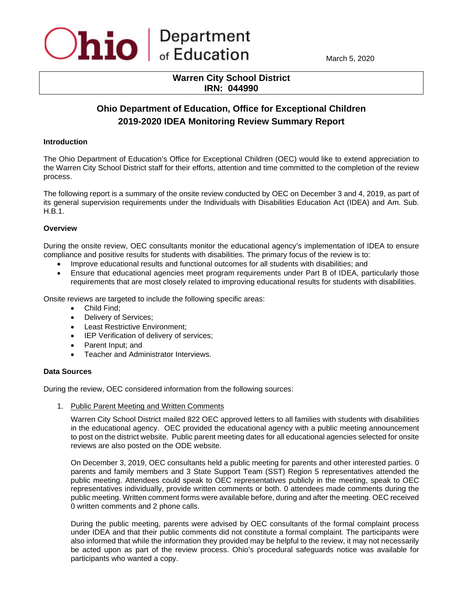

March 5, 2020

## **Warren City School District IRN: 044990**

# **Ohio Department of Education, Office for Exceptional Children 2019-2020 IDEA Monitoring Review Summary Report**

#### **Introduction**

The Ohio Department of Education's Office for Exceptional Children (OEC) would like to extend appreciation to the Warren City School District staff for their efforts, attention and time committed to the completion of the review process.

The following report is a summary of the onsite review conducted by OEC on December 3 and 4, 2019, as part of its general supervision requirements under the Individuals with Disabilities Education Act (IDEA) and Am. Sub. H.B.1.

## **Overview**

During the onsite review, OEC consultants monitor the educational agency's implementation of IDEA to ensure compliance and positive results for students with disabilities. The primary focus of the review is to:

- Improve educational results and functional outcomes for all students with disabilities; and
- Ensure that educational agencies meet program requirements under Part B of IDEA, particularly those requirements that are most closely related to improving educational results for students with disabilities.

Onsite reviews are targeted to include the following specific areas:

- Child Find;
- Delivery of Services;
- Least Restrictive Environment;
- IEP Verification of delivery of services;
- Parent Input; and
- Teacher and Administrator Interviews.

#### **Data Sources**

During the review, OEC considered information from the following sources:

1. Public Parent Meeting and Written Comments

Warren City School District mailed 822 OEC approved letters to all families with students with disabilities in the educational agency. OEC provided the educational agency with a public meeting announcement to post on the district website. Public parent meeting dates for all educational agencies selected for onsite reviews are also posted on the ODE website.

On December 3, 2019, OEC consultants held a public meeting for parents and other interested parties. 0 parents and family members and 3 State Support Team (SST) Region 5 representatives attended the public meeting. Attendees could speak to OEC representatives publicly in the meeting, speak to OEC representatives individually, provide written comments or both. 0 attendees made comments during the public meeting. Written comment forms were available before, during and after the meeting. OEC received 0 written comments and 2 phone calls.

During the public meeting, parents were advised by OEC consultants of the formal complaint process under IDEA and that their public comments did not constitute a formal complaint. The participants were also informed that while the information they provided may be helpful to the review, it may not necessarily be acted upon as part of the review process. Ohio's procedural safeguards notice was available for participants who wanted a copy.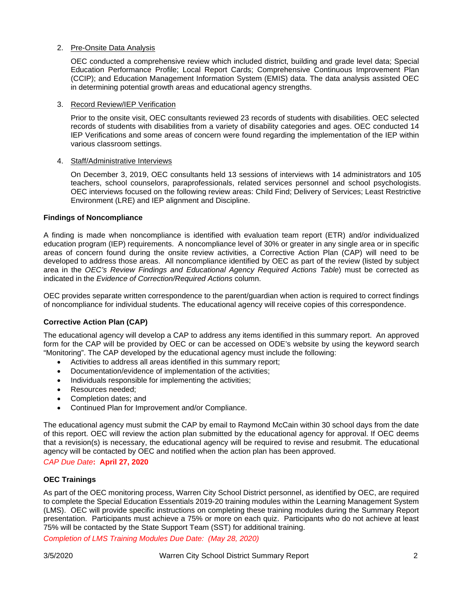## 2. Pre-Onsite Data Analysis

OEC conducted a comprehensive review which included district, building and grade level data; Special Education Performance Profile; Local Report Cards; Comprehensive Continuous Improvement Plan (CCIP); and Education Management Information System (EMIS) data. The data analysis assisted OEC in determining potential growth areas and educational agency strengths.

#### 3. Record Review/IEP Verification

Prior to the onsite visit, OEC consultants reviewed 23 records of students with disabilities. OEC selected records of students with disabilities from a variety of disability categories and ages. OEC conducted 14 IEP Verifications and some areas of concern were found regarding the implementation of the IEP within various classroom settings.

#### 4. Staff/Administrative Interviews

On December 3, 2019, OEC consultants held 13 sessions of interviews with 14 administrators and 105 teachers, school counselors, paraprofessionals, related services personnel and school psychologists. OEC interviews focused on the following review areas: Child Find; Delivery of Services; Least Restrictive Environment (LRE) and IEP alignment and Discipline.

## **Findings of Noncompliance**

A finding is made when noncompliance is identified with evaluation team report (ETR) and/or individualized education program (IEP) requirements. A noncompliance level of 30% or greater in any single area or in specific areas of concern found during the onsite review activities, a Corrective Action Plan (CAP) will need to be developed to address those areas. All noncompliance identified by OEC as part of the review (listed by subject area in the *OEC's Review Findings and Educational Agency Required Actions Table*) must be corrected as indicated in the *Evidence of Correction/Required Actions* column.

OEC provides separate written correspondence to the parent/guardian when action is required to correct findings of noncompliance for individual students. The educational agency will receive copies of this correspondence.

## **Corrective Action Plan (CAP)**

The educational agency will develop a CAP to address any items identified in this summary report. An approved form for the CAP will be provided by OEC or can be accessed on ODE's website by using the keyword search "Monitoring". The CAP developed by the educational agency must include the following:

- Activities to address all areas identified in this summary report;
- Documentation/evidence of implementation of the activities;
- Individuals responsible for implementing the activities;
- Resources needed:
- Completion dates; and
- Continued Plan for Improvement and/or Compliance.

The educational agency must submit the CAP by email to Raymond McCain within 30 school days from the date of this report. OEC will review the action plan submitted by the educational agency for approval. If OEC deems that a revision(s) is necessary, the educational agency will be required to revise and resubmit. The educational agency will be contacted by OEC and notified when the action plan has been approved.

## *CAP Due Date***: April 27, 2020**

## **OEC Trainings**

As part of the OEC monitoring process, Warren City School District personnel, as identified by OEC, are required to complete the Special Education Essentials 2019-20 training modules within the Learning Management System (LMS). OEC will provide specific instructions on completing these training modules during the Summary Report presentation. Participants must achieve a 75% or more on each quiz. Participants who do not achieve at least 75% will be contacted by the State Support Team (SST) for additional training.

*Completion of LMS Training Modules Due Date: (May 28, 2020)*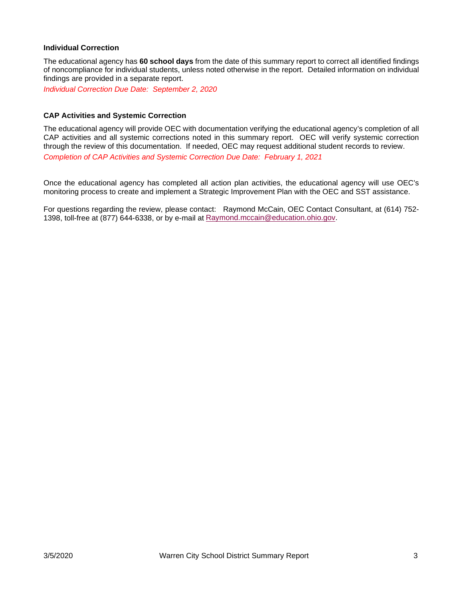## **Individual Correction**

The educational agency has **60 school days** from the date of this summary report to correct all identified findings of noncompliance for individual students, unless noted otherwise in the report. Detailed information on individual findings are provided in a separate report.

*Individual Correction Due Date: September 2, 2020*

#### **CAP Activities and Systemic Correction**

The educational agency will provide OEC with documentation verifying the educational agency's completion of all CAP activities and all systemic corrections noted in this summary report. OEC will verify systemic correction through the review of this documentation. If needed, OEC may request additional student records to review. *Completion of CAP Activities and Systemic Correction Due Date: February 1, 2021*

Once the educational agency has completed all action plan activities, the educational agency will use OEC's monitoring process to create and implement a Strategic Improvement Plan with the OEC and SST assistance.

For questions regarding the review, please contact:Raymond McCain, OEC Contact Consultant, at (614) 752- 1398, toll-free at (877) 644-6338, or by e-mail at [Raymond.mccain@education.ohio.gov.](mailto:Raymond.mccain@education.ohio.gov)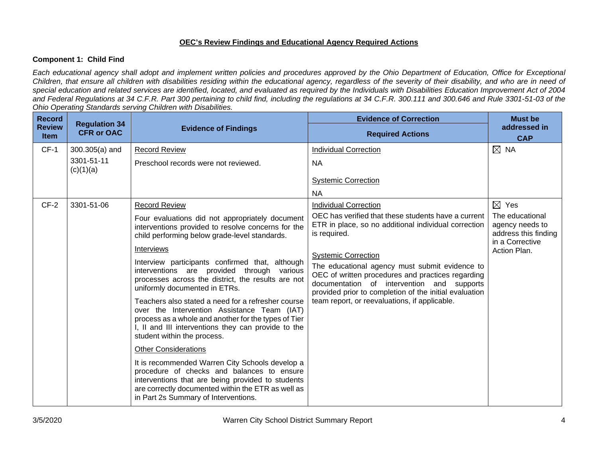## **OEC's Review Findings and Educational Agency Required Actions**

## **Component 1: Child Find**

*Each educational agency shall adopt and implement written policies and procedures approved by the Ohio Department of Education, Office for Exceptional Children, that ensure all children with disabilities residing within the educational agency, regardless of the severity of their disability, and who are in need of special education and related services are identified, located, and evaluated as required by the Individuals with Disabilities Education Improvement Act of 2004 and Federal Regulations at 34 C.F.R. Part 300 pertaining to child find, including the regulations at 34 C.F.R. 300.111 and 300.646 and Rule 3301-51-03 of the Ohio Operating Standards serving Children with Disabilities.* 

| <b>Record</b>                |                                           |                                                                                                                                                                                                                                                  | <b>Evidence of Correction</b>                                                                                                                                                                               | <b>Must be</b>                                                                |
|------------------------------|-------------------------------------------|--------------------------------------------------------------------------------------------------------------------------------------------------------------------------------------------------------------------------------------------------|-------------------------------------------------------------------------------------------------------------------------------------------------------------------------------------------------------------|-------------------------------------------------------------------------------|
| <b>Review</b><br><b>Item</b> | <b>Regulation 34</b><br><b>CFR or OAC</b> | <b>Evidence of Findings</b>                                                                                                                                                                                                                      | <b>Required Actions</b>                                                                                                                                                                                     | addressed in<br><b>CAP</b>                                                    |
| $CF-1$                       | 300.305(a) and                            | <b>Record Review</b>                                                                                                                                                                                                                             | <b>Individual Correction</b>                                                                                                                                                                                | $\boxtimes$ NA                                                                |
|                              | 3301-51-11<br>(c)(1)(a)                   | Preschool records were not reviewed.                                                                                                                                                                                                             | <b>NA</b>                                                                                                                                                                                                   |                                                                               |
|                              |                                           |                                                                                                                                                                                                                                                  | <b>Systemic Correction</b>                                                                                                                                                                                  |                                                                               |
|                              |                                           |                                                                                                                                                                                                                                                  | <b>NA</b>                                                                                                                                                                                                   |                                                                               |
| $CF-2$                       | 3301-51-06                                | <b>Record Review</b>                                                                                                                                                                                                                             | <b>Individual Correction</b>                                                                                                                                                                                | $\boxtimes$ Yes                                                               |
|                              |                                           | Four evaluations did not appropriately document<br>interventions provided to resolve concerns for the<br>child performing below grade-level standards.                                                                                           | OEC has verified that these students have a current<br>ETR in place, so no additional individual correction<br>is required.                                                                                 | The educational<br>agency needs to<br>address this finding<br>in a Corrective |
|                              |                                           | Interviews                                                                                                                                                                                                                                       | <b>Systemic Correction</b>                                                                                                                                                                                  | Action Plan.                                                                  |
|                              |                                           | Interview participants confirmed that, although<br>interventions are provided through various<br>processes across the district, the results are not<br>uniformly documented in ETRs.                                                             | The educational agency must submit evidence to<br>OEC of written procedures and practices regarding<br>documentation of intervention and supports<br>provided prior to completion of the initial evaluation |                                                                               |
|                              |                                           | Teachers also stated a need for a refresher course<br>over the Intervention Assistance Team (IAT)<br>process as a whole and another for the types of Tier<br>I, II and III interventions they can provide to the<br>student within the process.  | team report, or reevaluations, if applicable.                                                                                                                                                               |                                                                               |
|                              |                                           | <b>Other Considerations</b>                                                                                                                                                                                                                      |                                                                                                                                                                                                             |                                                                               |
|                              |                                           | It is recommended Warren City Schools develop a<br>procedure of checks and balances to ensure<br>interventions that are being provided to students<br>are correctly documented within the ETR as well as<br>in Part 2s Summary of Interventions. |                                                                                                                                                                                                             |                                                                               |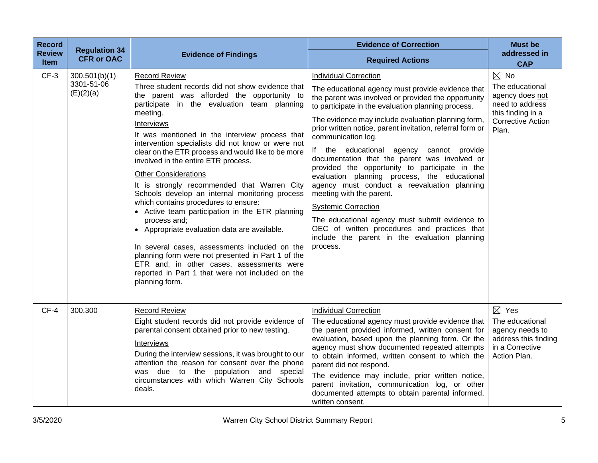| <b>Record</b><br><b>Review</b><br>Item | <b>Regulation 34</b><br><b>CFR or OAC</b> | <b>Evidence of Findings</b>                                                                                                                                                                                                                                                                                                                                                                                                                                                                                                                                                                                                                                                                                                                                                                                                                                                                                             | <b>Evidence of Correction</b><br><b>Required Actions</b>                                                                                                                                                                                                                                                                                                                                                                                                                                                                                                                                                                                                                                                                                                                                                       | <b>Must be</b><br>addressed in<br><b>CAP</b>                                                                                      |
|----------------------------------------|-------------------------------------------|-------------------------------------------------------------------------------------------------------------------------------------------------------------------------------------------------------------------------------------------------------------------------------------------------------------------------------------------------------------------------------------------------------------------------------------------------------------------------------------------------------------------------------------------------------------------------------------------------------------------------------------------------------------------------------------------------------------------------------------------------------------------------------------------------------------------------------------------------------------------------------------------------------------------------|----------------------------------------------------------------------------------------------------------------------------------------------------------------------------------------------------------------------------------------------------------------------------------------------------------------------------------------------------------------------------------------------------------------------------------------------------------------------------------------------------------------------------------------------------------------------------------------------------------------------------------------------------------------------------------------------------------------------------------------------------------------------------------------------------------------|-----------------------------------------------------------------------------------------------------------------------------------|
| $CF-3$                                 | 300.501(b)(1)<br>3301-51-06<br>(E)(2)(a)  | <b>Record Review</b><br>Three student records did not show evidence that<br>the parent was afforded the opportunity to<br>participate in the evaluation team planning<br>meeting.<br>Interviews<br>It was mentioned in the interview process that<br>intervention specialists did not know or were not<br>clear on the ETR process and would like to be more<br>involved in the entire ETR process.<br><b>Other Considerations</b><br>It is strongly recommended that Warren City<br>Schools develop an internal monitoring process<br>which contains procedures to ensure:<br>• Active team participation in the ETR planning<br>process and;<br>• Appropriate evaluation data are available.<br>In several cases, assessments included on the<br>planning form were not presented in Part 1 of the<br>ETR and, in other cases, assessments were<br>reported in Part 1 that were not included on the<br>planning form. | <b>Individual Correction</b><br>The educational agency must provide evidence that<br>the parent was involved or provided the opportunity<br>to participate in the evaluation planning process.<br>The evidence may include evaluation planning form,<br>prior written notice, parent invitation, referral form or<br>communication log.<br>If the educational agency cannot provide<br>documentation that the parent was involved or<br>provided the opportunity to participate in the<br>evaluation planning process, the educational<br>agency must conduct a reevaluation planning<br>meeting with the parent.<br><b>Systemic Correction</b><br>The educational agency must submit evidence to<br>OEC of written procedures and practices that<br>include the parent in the evaluation planning<br>process. | $\boxtimes$ No<br>The educational<br>agency does not<br>need to address<br>this finding in a<br><b>Corrective Action</b><br>Plan. |
| $CF-4$                                 | 300.300                                   | <b>Record Review</b><br>Eight student records did not provide evidence of<br>parental consent obtained prior to new testing.<br>Interviews<br>During the interview sessions, it was brought to our<br>attention the reason for consent over the phone<br>was due to the population and special<br>circumstances with which Warren City Schools<br>deals.                                                                                                                                                                                                                                                                                                                                                                                                                                                                                                                                                                | <b>Individual Correction</b><br>The educational agency must provide evidence that<br>the parent provided informed, written consent for<br>evaluation, based upon the planning form. Or the<br>agency must show documented repeated attempts<br>to obtain informed, written consent to which the<br>parent did not respond.<br>The evidence may include, prior written notice,<br>parent invitation, communication log, or other<br>documented attempts to obtain parental informed,<br>written consent.                                                                                                                                                                                                                                                                                                        | $\boxtimes$ Yes<br>The educational<br>agency needs to<br>address this finding<br>in a Corrective<br>Action Plan.                  |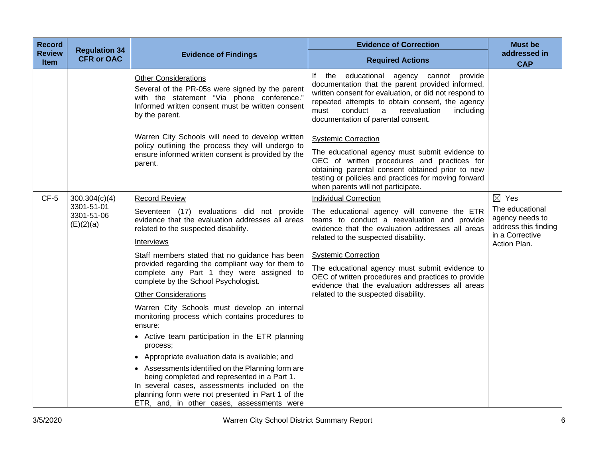| <b>Record</b>         | <b>Regulation 34</b>                  |                                                                                                                                                                                                                                                       | <b>Evidence of Correction</b>                                                                                                                                                                                                                                                                       | <b>Must be</b>                                                                |
|-----------------------|---------------------------------------|-------------------------------------------------------------------------------------------------------------------------------------------------------------------------------------------------------------------------------------------------------|-----------------------------------------------------------------------------------------------------------------------------------------------------------------------------------------------------------------------------------------------------------------------------------------------------|-------------------------------------------------------------------------------|
| <b>Review</b><br>Item | <b>CFR or OAC</b>                     | <b>Evidence of Findings</b>                                                                                                                                                                                                                           | <b>Required Actions</b>                                                                                                                                                                                                                                                                             | addressed in<br><b>CAP</b>                                                    |
|                       |                                       | <b>Other Considerations</b><br>Several of the PR-05s were signed by the parent<br>with the statement "Via phone conference."<br>Informed written consent must be written consent<br>by the parent.                                                    | If the educational agency cannot provide<br>documentation that the parent provided informed,<br>written consent for evaluation, or did not respond to<br>repeated attempts to obtain consent, the agency<br>conduct<br>reevaluation<br>including<br>must<br>a<br>documentation of parental consent. |                                                                               |
|                       |                                       | Warren City Schools will need to develop written<br>policy outlining the process they will undergo to<br>ensure informed written consent is provided by the<br>parent.                                                                                | <b>Systemic Correction</b><br>The educational agency must submit evidence to<br>OEC of written procedures and practices for<br>obtaining parental consent obtained prior to new<br>testing or policies and practices for moving forward<br>when parents will not participate.                       |                                                                               |
| $CF-5$                | 300.304(c)(4)                         | <b>Record Review</b>                                                                                                                                                                                                                                  | <b>Individual Correction</b>                                                                                                                                                                                                                                                                        | $\boxtimes$ Yes                                                               |
|                       | 3301-51-01<br>3301-51-06<br>(E)(2)(a) | Seventeen (17) evaluations did not provide<br>evidence that the evaluation addresses all areas<br>related to the suspected disability.                                                                                                                | The educational agency will convene the ETR<br>teams to conduct a reevaluation and provide<br>evidence that the evaluation addresses all areas                                                                                                                                                      | The educational<br>agency needs to<br>address this finding<br>in a Corrective |
|                       |                                       | Interviews                                                                                                                                                                                                                                            | related to the suspected disability.                                                                                                                                                                                                                                                                | Action Plan.                                                                  |
|                       |                                       | Staff members stated that no guidance has been<br>provided regarding the compliant way for them to<br>complete any Part 1 they were assigned to                                                                                                       | <b>Systemic Correction</b><br>The educational agency must submit evidence to<br>OEC of written procedures and practices to provide                                                                                                                                                                  |                                                                               |
|                       |                                       | complete by the School Psychologist.                                                                                                                                                                                                                  | evidence that the evaluation addresses all areas                                                                                                                                                                                                                                                    |                                                                               |
|                       |                                       | <b>Other Considerations</b><br>Warren City Schools must develop an internal                                                                                                                                                                           | related to the suspected disability.                                                                                                                                                                                                                                                                |                                                                               |
|                       |                                       | monitoring process which contains procedures to<br>ensure:                                                                                                                                                                                            |                                                                                                                                                                                                                                                                                                     |                                                                               |
|                       |                                       | • Active team participation in the ETR planning<br>process:                                                                                                                                                                                           |                                                                                                                                                                                                                                                                                                     |                                                                               |
|                       |                                       | • Appropriate evaluation data is available; and                                                                                                                                                                                                       |                                                                                                                                                                                                                                                                                                     |                                                                               |
|                       |                                       | • Assessments identified on the Planning form are<br>being completed and represented in a Part 1.<br>In several cases, assessments included on the<br>planning form were not presented in Part 1 of the<br>ETR, and, in other cases, assessments were |                                                                                                                                                                                                                                                                                                     |                                                                               |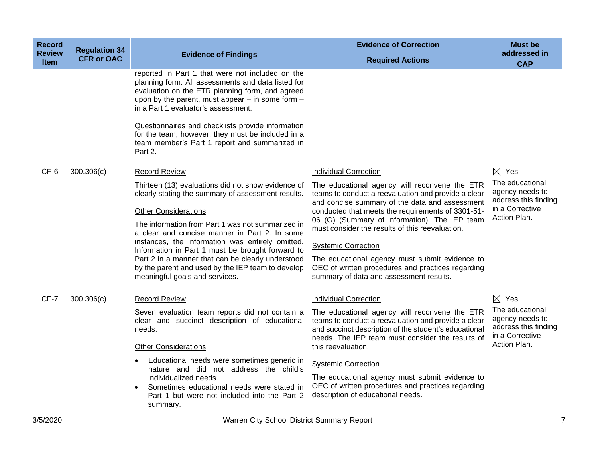| <b>Record</b>                | <b>Regulation 34</b> |                                                                                                                                                                                                                                                                                                                                                                                                                                                                                                                           | <b>Evidence of Correction</b>                                                                                                                                                                                                                                                                                                                                                                                                                                                                                                   | <b>Must be</b>                                                                                                   |
|------------------------------|----------------------|---------------------------------------------------------------------------------------------------------------------------------------------------------------------------------------------------------------------------------------------------------------------------------------------------------------------------------------------------------------------------------------------------------------------------------------------------------------------------------------------------------------------------|---------------------------------------------------------------------------------------------------------------------------------------------------------------------------------------------------------------------------------------------------------------------------------------------------------------------------------------------------------------------------------------------------------------------------------------------------------------------------------------------------------------------------------|------------------------------------------------------------------------------------------------------------------|
| <b>Review</b><br><b>Item</b> | <b>CFR or OAC</b>    | <b>Evidence of Findings</b>                                                                                                                                                                                                                                                                                                                                                                                                                                                                                               | <b>Required Actions</b>                                                                                                                                                                                                                                                                                                                                                                                                                                                                                                         | addressed in<br><b>CAP</b>                                                                                       |
|                              |                      | reported in Part 1 that were not included on the<br>planning form. All assessments and data listed for<br>evaluation on the ETR planning form, and agreed<br>upon by the parent, must appear $-$ in some form $-$<br>in a Part 1 evaluator's assessment.<br>Questionnaires and checklists provide information<br>for the team; however, they must be included in a<br>team member's Part 1 report and summarized in<br>Part 2.                                                                                            |                                                                                                                                                                                                                                                                                                                                                                                                                                                                                                                                 |                                                                                                                  |
| CF-6                         | 300.306(c)           | <b>Record Review</b><br>Thirteen (13) evaluations did not show evidence of<br>clearly stating the summary of assessment results.<br><b>Other Considerations</b><br>The information from Part 1 was not summarized in<br>a clear and concise manner in Part 2. In some<br>instances, the information was entirely omitted.<br>Information in Part 1 must be brought forward to<br>Part 2 in a manner that can be clearly understood<br>by the parent and used by the IEP team to develop<br>meaningful goals and services. | <b>Individual Correction</b><br>The educational agency will reconvene the ETR<br>teams to conduct a reevaluation and provide a clear<br>and concise summary of the data and assessment<br>conducted that meets the requirements of 3301-51-<br>06 (G) (Summary of information). The IEP team<br>must consider the results of this reevaluation.<br><b>Systemic Correction</b><br>The educational agency must submit evidence to<br>OEC of written procedures and practices regarding<br>summary of data and assessment results. | $\boxtimes$ Yes<br>The educational<br>agency needs to<br>address this finding<br>in a Corrective<br>Action Plan. |
| CF-7                         | 300.306(c)           | <b>Record Review</b><br>Seven evaluation team reports did not contain a<br>clear and succinct description of educational<br>needs.<br><b>Other Considerations</b><br>Educational needs were sometimes generic in<br>$\bullet$<br>nature and did not address the child's<br>individualized needs.<br>Sometimes educational needs were stated in<br>Part 1 but were not included into the Part 2<br>summary.                                                                                                                | <b>Individual Correction</b><br>The educational agency will reconvene the ETR<br>teams to conduct a reevaluation and provide a clear<br>and succinct description of the student's educational<br>needs. The IEP team must consider the results of<br>this reevaluation.<br><b>Systemic Correction</b><br>The educational agency must submit evidence to<br>OEC of written procedures and practices regarding<br>description of educational needs.                                                                               | $\boxtimes$ Yes<br>The educational<br>agency needs to<br>address this finding<br>in a Corrective<br>Action Plan. |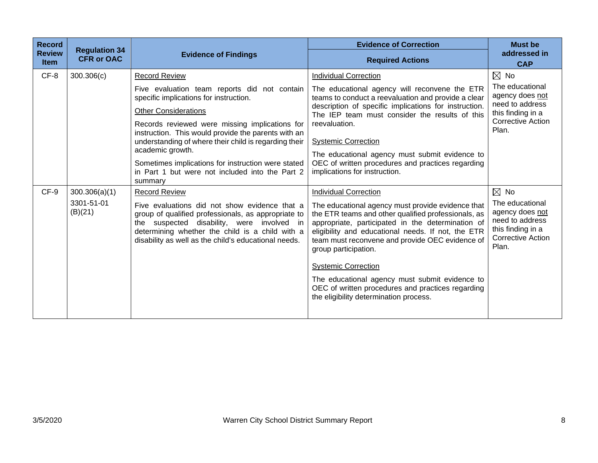| <b>Record</b>                | <b>Regulation 34</b>  |                                                                                                                                                                                                                                                               | <b>Evidence of Correction</b>                                                                                                                                                                                                                                                                                                                                                                                                                                                 | <b>Must be</b>                                                                                                  |
|------------------------------|-----------------------|---------------------------------------------------------------------------------------------------------------------------------------------------------------------------------------------------------------------------------------------------------------|-------------------------------------------------------------------------------------------------------------------------------------------------------------------------------------------------------------------------------------------------------------------------------------------------------------------------------------------------------------------------------------------------------------------------------------------------------------------------------|-----------------------------------------------------------------------------------------------------------------|
| <b>Review</b><br><b>Item</b> | <b>CFR or OAC</b>     | <b>Evidence of Findings</b>                                                                                                                                                                                                                                   | <b>Required Actions</b>                                                                                                                                                                                                                                                                                                                                                                                                                                                       | addressed in<br><b>CAP</b>                                                                                      |
| CF-8                         | 300.306(c)            | <b>Record Review</b>                                                                                                                                                                                                                                          | <b>Individual Correction</b>                                                                                                                                                                                                                                                                                                                                                                                                                                                  | $\boxtimes$ No                                                                                                  |
|                              |                       | Five evaluation team reports did not contain<br>specific implications for instruction.<br><b>Other Considerations</b><br>Records reviewed were missing implications for                                                                                       | The educational agency will reconvene the ETR<br>teams to conduct a reevaluation and provide a clear<br>description of specific implications for instruction.<br>The IEP team must consider the results of this<br>reevaluation.                                                                                                                                                                                                                                              | The educational<br>agency does not<br>need to address<br>this finding in a<br>Corrective Action                 |
|                              |                       | instruction. This would provide the parents with an<br>understanding of where their child is regarding their<br>academic growth.<br>Sometimes implications for instruction were stated<br>in Part 1 but were not included into the Part 2<br>summary          | <b>Systemic Correction</b><br>The educational agency must submit evidence to<br>OEC of written procedures and practices regarding<br>implications for instruction.                                                                                                                                                                                                                                                                                                            | Plan.                                                                                                           |
| CF-9                         | 300.306(a)(1)         | <b>Record Review</b>                                                                                                                                                                                                                                          | <b>Individual Correction</b>                                                                                                                                                                                                                                                                                                                                                                                                                                                  | $\boxtimes$ No                                                                                                  |
|                              | 3301-51-01<br>(B)(21) | Five evaluations did not show evidence that a<br>group of qualified professionals, as appropriate to<br>the suspected disability, were involved in<br>determining whether the child is a child with a<br>disability as well as the child's educational needs. | The educational agency must provide evidence that<br>the ETR teams and other qualified professionals, as<br>appropriate, participated in the determination of<br>eligibility and educational needs. If not, the ETR<br>team must reconvene and provide OEC evidence of<br>group participation.<br><b>Systemic Correction</b><br>The educational agency must submit evidence to<br>OEC of written procedures and practices regarding<br>the eligibility determination process. | The educational<br>agency does not<br>need to address<br>this finding in a<br><b>Corrective Action</b><br>Plan. |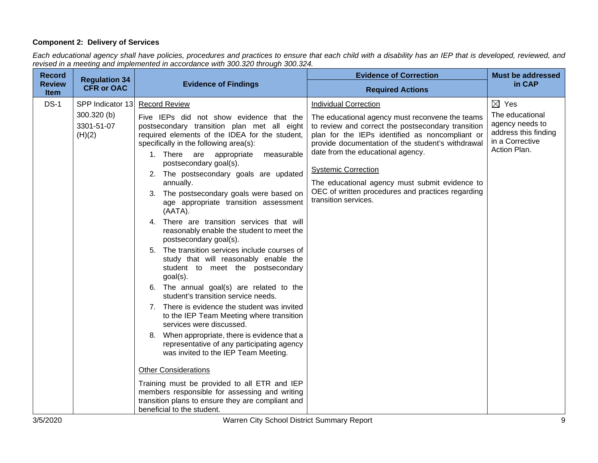## **Component 2: Delivery of Services**

*Each educational agency shall have policies, procedures and practices to ensure that each child with a disability has an IEP that is developed, reviewed, and revised in a meeting and implemented in accordance with 300.320 through 300.324.*

| <b>Record</b>                                 | <b>Regulation 34</b> |                                                                                                                                                                                                                                                                                                                                                                                                                                                                                                                                                                                                                                                                                                                                                                                                                                                                                                                                                                                                                                                                                                                                                                                                                                                                             | <b>Evidence of Correction</b>                                                                                                                                                                                                                                                                                                                                                                                                                   | <b>Must be addressed</b>                                                                                         |
|-----------------------------------------------|----------------------|-----------------------------------------------------------------------------------------------------------------------------------------------------------------------------------------------------------------------------------------------------------------------------------------------------------------------------------------------------------------------------------------------------------------------------------------------------------------------------------------------------------------------------------------------------------------------------------------------------------------------------------------------------------------------------------------------------------------------------------------------------------------------------------------------------------------------------------------------------------------------------------------------------------------------------------------------------------------------------------------------------------------------------------------------------------------------------------------------------------------------------------------------------------------------------------------------------------------------------------------------------------------------------|-------------------------------------------------------------------------------------------------------------------------------------------------------------------------------------------------------------------------------------------------------------------------------------------------------------------------------------------------------------------------------------------------------------------------------------------------|------------------------------------------------------------------------------------------------------------------|
| <b>Review</b><br><b>Item</b>                  | <b>CFR or OAC</b>    | <b>Evidence of Findings</b>                                                                                                                                                                                                                                                                                                                                                                                                                                                                                                                                                                                                                                                                                                                                                                                                                                                                                                                                                                                                                                                                                                                                                                                                                                                 | <b>Required Actions</b>                                                                                                                                                                                                                                                                                                                                                                                                                         | in CAP                                                                                                           |
| $DS-1$<br>300.320 (b)<br>3301-51-07<br>(H)(2) | SPP Indicator 13     | <b>Record Review</b><br>Five IEPs did not show evidence that the<br>postsecondary transition plan met all eight<br>required elements of the IDEA for the student,<br>specifically in the following area(s):<br>1. There are appropriate<br>measurable<br>postsecondary goal(s).<br>2. The postsecondary goals are updated<br>annually.<br>3. The postsecondary goals were based on<br>age appropriate transition assessment<br>(AATA).<br>4. There are transition services that will<br>reasonably enable the student to meet the<br>postsecondary goal(s).<br>5. The transition services include courses of<br>study that will reasonably enable the<br>student to meet the postsecondary<br>goal(s).<br>6. The annual goal(s) are related to the<br>student's transition service needs.<br>7. There is evidence the student was invited<br>to the IEP Team Meeting where transition<br>services were discussed.<br>8. When appropriate, there is evidence that a<br>representative of any participating agency<br>was invited to the IEP Team Meeting.<br><b>Other Considerations</b><br>Training must be provided to all ETR and IEP<br>members responsible for assessing and writing<br>transition plans to ensure they are compliant and<br>beneficial to the student. | <b>Individual Correction</b><br>The educational agency must reconvene the teams<br>to review and correct the postsecondary transition<br>plan for the IEPs identified as noncompliant or<br>provide documentation of the student's withdrawal<br>date from the educational agency.<br><b>Systemic Correction</b><br>The educational agency must submit evidence to<br>OEC of written procedures and practices regarding<br>transition services. | $\boxtimes$ Yes<br>The educational<br>agency needs to<br>address this finding<br>in a Corrective<br>Action Plan. |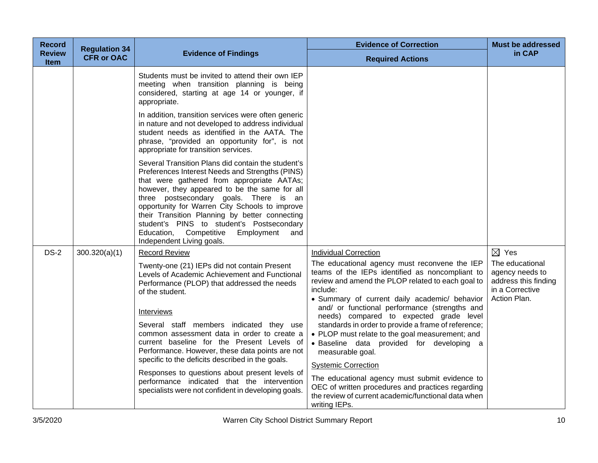| <b>Record</b>                | <b>Regulation 34</b> |                                                                                                                                                                                                                                                                                                                                                                                                                                                                                                                                                                                                               | <b>Evidence of Correction</b>                                                                                                                                                                                                                                                                                                                                                                                                                                                                                                                                                                                                                                                                                                          | <b>Must be addressed</b>                                                                                         |
|------------------------------|----------------------|---------------------------------------------------------------------------------------------------------------------------------------------------------------------------------------------------------------------------------------------------------------------------------------------------------------------------------------------------------------------------------------------------------------------------------------------------------------------------------------------------------------------------------------------------------------------------------------------------------------|----------------------------------------------------------------------------------------------------------------------------------------------------------------------------------------------------------------------------------------------------------------------------------------------------------------------------------------------------------------------------------------------------------------------------------------------------------------------------------------------------------------------------------------------------------------------------------------------------------------------------------------------------------------------------------------------------------------------------------------|------------------------------------------------------------------------------------------------------------------|
| <b>Review</b><br><b>Item</b> | <b>CFR or OAC</b>    | <b>Evidence of Findings</b>                                                                                                                                                                                                                                                                                                                                                                                                                                                                                                                                                                                   | <b>Required Actions</b>                                                                                                                                                                                                                                                                                                                                                                                                                                                                                                                                                                                                                                                                                                                | in CAP                                                                                                           |
|                              |                      | Students must be invited to attend their own IEP<br>meeting when transition planning is being<br>considered, starting at age 14 or younger, if<br>appropriate.                                                                                                                                                                                                                                                                                                                                                                                                                                                |                                                                                                                                                                                                                                                                                                                                                                                                                                                                                                                                                                                                                                                                                                                                        |                                                                                                                  |
|                              |                      | In addition, transition services were often generic<br>in nature and not developed to address individual<br>student needs as identified in the AATA. The<br>phrase, "provided an opportunity for", is not<br>appropriate for transition services.                                                                                                                                                                                                                                                                                                                                                             |                                                                                                                                                                                                                                                                                                                                                                                                                                                                                                                                                                                                                                                                                                                                        |                                                                                                                  |
|                              |                      | Several Transition Plans did contain the student's<br>Preferences Interest Needs and Strengths (PINS)<br>that were gathered from appropriate AATAs;<br>however, they appeared to be the same for all<br>three postsecondary goals. There is an<br>opportunity for Warren City Schools to improve<br>their Transition Planning by better connecting<br>student's PINS to student's Postsecondary<br>Education,<br>Competitive<br>Employment<br>and<br>Independent Living goals.                                                                                                                                |                                                                                                                                                                                                                                                                                                                                                                                                                                                                                                                                                                                                                                                                                                                                        |                                                                                                                  |
| <b>DS-2</b>                  | 300.320(a)(1)        | <b>Record Review</b><br>Twenty-one (21) IEPs did not contain Present<br>Levels of Academic Achievement and Functional<br>Performance (PLOP) that addressed the needs<br>of the student.<br>Interviews<br>Several staff members indicated they use<br>common assessment data in order to create a<br>current baseline for the Present Levels of<br>Performance. However, these data points are not<br>specific to the deficits described in the goals.<br>Responses to questions about present levels of<br>performance indicated that the intervention<br>specialists were not confident in developing goals. | <b>Individual Correction</b><br>The educational agency must reconvene the IEP<br>teams of the IEPs identified as noncompliant to<br>review and amend the PLOP related to each goal to<br>include:<br>· Summary of current daily academic/ behavior<br>and/ or functional performance (strengths and<br>needs) compared to expected grade level<br>standards in order to provide a frame of reference;<br>• PLOP must relate to the goal measurement; and<br>· Baseline data provided for developing a<br>measurable goal.<br><b>Systemic Correction</b><br>The educational agency must submit evidence to<br>OEC of written procedures and practices regarding<br>the review of current academic/functional data when<br>writing IEPs. | $\boxtimes$ Yes<br>The educational<br>agency needs to<br>address this finding<br>in a Corrective<br>Action Plan. |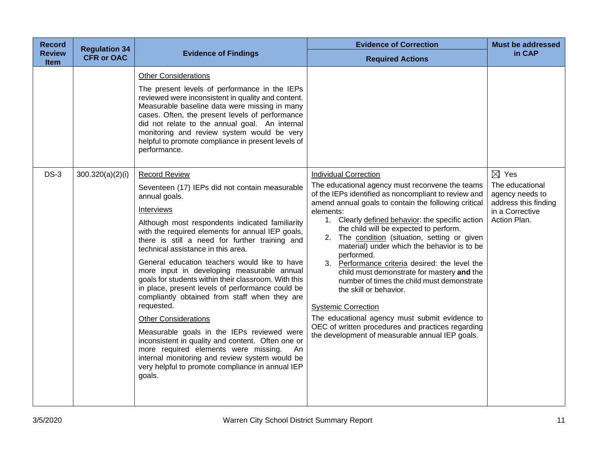| <b>Record</b>                | <b>Regulation 34</b> |                                                                                                                                                                                                                                                                                                                                                                                                                                                                                                                                                                                                                                                                                                                                                                                                                                                                                | <b>Evidence of Correction</b>                                                                                                                                                                                                                                                                                                                                                                                                                                                                                                                                                                                                                                                                                                                                                            | <b>Must be addressed</b>                                                                                         |
|------------------------------|----------------------|--------------------------------------------------------------------------------------------------------------------------------------------------------------------------------------------------------------------------------------------------------------------------------------------------------------------------------------------------------------------------------------------------------------------------------------------------------------------------------------------------------------------------------------------------------------------------------------------------------------------------------------------------------------------------------------------------------------------------------------------------------------------------------------------------------------------------------------------------------------------------------|------------------------------------------------------------------------------------------------------------------------------------------------------------------------------------------------------------------------------------------------------------------------------------------------------------------------------------------------------------------------------------------------------------------------------------------------------------------------------------------------------------------------------------------------------------------------------------------------------------------------------------------------------------------------------------------------------------------------------------------------------------------------------------------|------------------------------------------------------------------------------------------------------------------|
| <b>Review</b><br><b>Item</b> | <b>CFR or OAC</b>    | <b>Evidence of Findings</b>                                                                                                                                                                                                                                                                                                                                                                                                                                                                                                                                                                                                                                                                                                                                                                                                                                                    | <b>Required Actions</b>                                                                                                                                                                                                                                                                                                                                                                                                                                                                                                                                                                                                                                                                                                                                                                  | in CAP                                                                                                           |
|                              |                      | <b>Other Considerations</b><br>The present levels of performance in the IEPs<br>reviewed were inconsistent in quality and content.<br>Measurable baseline data were missing in many<br>cases. Often, the present levels of performance<br>did not relate to the annual goal. An internal<br>monitoring and review system would be very<br>helpful to promote compliance in present levels of<br>performance.                                                                                                                                                                                                                                                                                                                                                                                                                                                                   |                                                                                                                                                                                                                                                                                                                                                                                                                                                                                                                                                                                                                                                                                                                                                                                          |                                                                                                                  |
| $DS-3$                       | 300.320(a)(2)(i)     | <b>Record Review</b><br>Seventeen (17) IEPs did not contain measurable<br>annual goals.<br>Interviews<br>Although most respondents indicated familiarity<br>with the required elements for annual IEP goals,<br>there is still a need for further training and<br>technical assistance in this area.<br>General education teachers would like to have<br>more input in developing measurable annual<br>goals for students within their classroom. With this<br>in place, present levels of performance could be<br>compliantly obtained from staff when they are<br>requested.<br><b>Other Considerations</b><br>Measurable goals in the IEPs reviewed were<br>inconsistent in quality and content. Often one or<br>more required elements were missing.<br>An<br>internal monitoring and review system would be<br>very helpful to promote compliance in annual IEP<br>goals. | <b>Individual Correction</b><br>The educational agency must reconvene the teams<br>of the IEPs identified as noncompliant to review and<br>amend annual goals to contain the following critical<br>elements:<br>1. Clearly defined behavior: the specific action<br>the child will be expected to perform.<br>2. The condition (situation, setting or given<br>material) under which the behavior is to be<br>performed.<br>3. Performance criteria desired: the level the<br>child must demonstrate for mastery and the<br>number of times the child must demonstrate<br>the skill or behavior.<br><b>Systemic Correction</b><br>The educational agency must submit evidence to<br>OEC of written procedures and practices regarding<br>the development of measurable annual IEP goals. | $\boxtimes$ Yes<br>The educational<br>agency needs to<br>address this finding<br>in a Corrective<br>Action Plan. |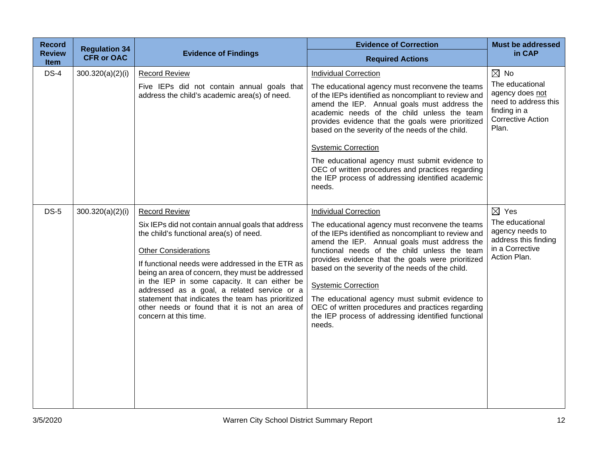| <b>Record</b>                | <b>Regulation 34</b> |                                                                                                                                                                                                                                                                                                                                                                                                                                                                                              | <b>Evidence of Correction</b>                                                                                                                                                                                                                                                                                                                                                                                                                                                                                                                           | <b>Must be addressed</b>                                                                                                          |
|------------------------------|----------------------|----------------------------------------------------------------------------------------------------------------------------------------------------------------------------------------------------------------------------------------------------------------------------------------------------------------------------------------------------------------------------------------------------------------------------------------------------------------------------------------------|---------------------------------------------------------------------------------------------------------------------------------------------------------------------------------------------------------------------------------------------------------------------------------------------------------------------------------------------------------------------------------------------------------------------------------------------------------------------------------------------------------------------------------------------------------|-----------------------------------------------------------------------------------------------------------------------------------|
| <b>Review</b><br><b>Item</b> | <b>CFR or OAC</b>    | <b>Evidence of Findings</b>                                                                                                                                                                                                                                                                                                                                                                                                                                                                  | <b>Required Actions</b>                                                                                                                                                                                                                                                                                                                                                                                                                                                                                                                                 | in CAP                                                                                                                            |
| $DS-4$                       | 300.320(a)(2)(i)     | <b>Record Review</b><br>Five IEPs did not contain annual goals that<br>address the child's academic area(s) of need.                                                                                                                                                                                                                                                                                                                                                                         | <b>Individual Correction</b><br>The educational agency must reconvene the teams<br>of the IEPs identified as noncompliant to review and<br>amend the IEP. Annual goals must address the<br>academic needs of the child unless the team<br>provides evidence that the goals were prioritized<br>based on the severity of the needs of the child.<br><b>Systemic Correction</b><br>The educational agency must submit evidence to<br>OEC of written procedures and practices regarding<br>the IEP process of addressing identified academic<br>needs.     | $\boxtimes$ No<br>The educational<br>agency does not<br>need to address this<br>finding in a<br><b>Corrective Action</b><br>Plan. |
| $DS-5$                       | 300.320(a)(2)(i)     | <b>Record Review</b><br>Six IEPs did not contain annual goals that address<br>the child's functional area(s) of need.<br><b>Other Considerations</b><br>If functional needs were addressed in the ETR as<br>being an area of concern, they must be addressed<br>in the IEP in some capacity. It can either be<br>addressed as a goal, a related service or a<br>statement that indicates the team has prioritized<br>other needs or found that it is not an area of<br>concern at this time. | <b>Individual Correction</b><br>The educational agency must reconvene the teams<br>of the IEPs identified as noncompliant to review and<br>amend the IEP. Annual goals must address the<br>functional needs of the child unless the team<br>provides evidence that the goals were prioritized<br>based on the severity of the needs of the child.<br><b>Systemic Correction</b><br>The educational agency must submit evidence to<br>OEC of written procedures and practices regarding<br>the IEP process of addressing identified functional<br>needs. | $\boxtimes$ Yes<br>The educational<br>agency needs to<br>address this finding<br>in a Corrective<br>Action Plan.                  |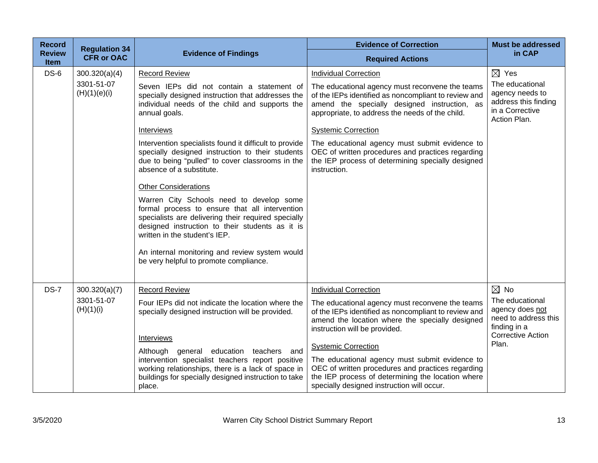| <b>Record</b>                | <b>Regulation 34</b>                        |                                                                                                                                                                                                                                                                                                                                                                                                                                                                                                                                                                                                                                                                                                                                                                           | <b>Evidence of Correction</b>                                                                                                                                                                                                                                                                                                                                                                                                                                       | <b>Must be addressed</b>                                                                                                          |
|------------------------------|---------------------------------------------|---------------------------------------------------------------------------------------------------------------------------------------------------------------------------------------------------------------------------------------------------------------------------------------------------------------------------------------------------------------------------------------------------------------------------------------------------------------------------------------------------------------------------------------------------------------------------------------------------------------------------------------------------------------------------------------------------------------------------------------------------------------------------|---------------------------------------------------------------------------------------------------------------------------------------------------------------------------------------------------------------------------------------------------------------------------------------------------------------------------------------------------------------------------------------------------------------------------------------------------------------------|-----------------------------------------------------------------------------------------------------------------------------------|
| <b>Review</b><br><b>Item</b> | <b>CFR or OAC</b>                           | <b>Evidence of Findings</b>                                                                                                                                                                                                                                                                                                                                                                                                                                                                                                                                                                                                                                                                                                                                               | <b>Required Actions</b>                                                                                                                                                                                                                                                                                                                                                                                                                                             | in CAP                                                                                                                            |
| $DS-6$                       | 300.320(a)(4)<br>3301-51-07<br>(H)(1)(e)(i) | <b>Record Review</b><br>Seven IEPs did not contain a statement of<br>specially designed instruction that addresses the<br>individual needs of the child and supports the<br>annual goals.<br>Interviews<br>Intervention specialists found it difficult to provide<br>specially designed instruction to their students<br>due to being "pulled" to cover classrooms in the<br>absence of a substitute.<br><b>Other Considerations</b><br>Warren City Schools need to develop some<br>formal process to ensure that all intervention<br>specialists are delivering their required specially<br>designed instruction to their students as it is<br>written in the student's IEP.<br>An internal monitoring and review system would<br>be very helpful to promote compliance. | <b>Individual Correction</b><br>The educational agency must reconvene the teams<br>of the IEPs identified as noncompliant to review and<br>amend the specially designed instruction, as<br>appropriate, to address the needs of the child.<br><b>Systemic Correction</b><br>The educational agency must submit evidence to<br>OEC of written procedures and practices regarding<br>the IEP process of determining specially designed<br>instruction.                | $\boxtimes$ Yes<br>The educational<br>agency needs to<br>address this finding<br>in a Corrective<br>Action Plan.                  |
| <b>DS-7</b>                  | 300.320(a)(7)<br>3301-51-07<br>(H)(1)(i)    | <b>Record Review</b><br>Four IEPs did not indicate the location where the<br>specially designed instruction will be provided.<br><b>Interviews</b><br>Although general education teachers and<br>intervention specialist teachers report positive<br>working relationships, there is a lack of space in<br>buildings for specially designed instruction to take<br>place.                                                                                                                                                                                                                                                                                                                                                                                                 | <b>Individual Correction</b><br>The educational agency must reconvene the teams<br>of the IEPs identified as noncompliant to review and<br>amend the location where the specially designed<br>instruction will be provided.<br><b>Systemic Correction</b><br>The educational agency must submit evidence to<br>OEC of written procedures and practices regarding<br>the IEP process of determining the location where<br>specially designed instruction will occur. | $\boxtimes$ No<br>The educational<br>agency does not<br>need to address this<br>finding in a<br><b>Corrective Action</b><br>Plan. |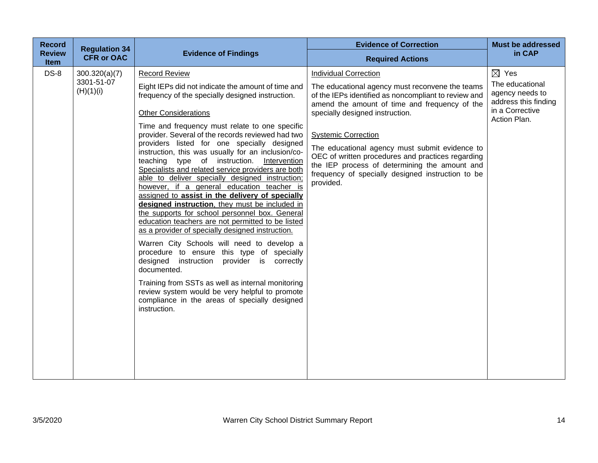| <b>Record</b>         | <b>Regulation 34</b>                     |                                                                                                                                                                                                                                                                                                                                                                                                                                                                                                                                                                                                                                                                                                                                                                                                                                                                                                                                                                                                                                                                                                                                                                                       | <b>Evidence of Correction</b>                                                                                                                                                                                                                                                                                                                                                                                                                                                       | <b>Must be addressed</b>                                                                                         |
|-----------------------|------------------------------------------|---------------------------------------------------------------------------------------------------------------------------------------------------------------------------------------------------------------------------------------------------------------------------------------------------------------------------------------------------------------------------------------------------------------------------------------------------------------------------------------------------------------------------------------------------------------------------------------------------------------------------------------------------------------------------------------------------------------------------------------------------------------------------------------------------------------------------------------------------------------------------------------------------------------------------------------------------------------------------------------------------------------------------------------------------------------------------------------------------------------------------------------------------------------------------------------|-------------------------------------------------------------------------------------------------------------------------------------------------------------------------------------------------------------------------------------------------------------------------------------------------------------------------------------------------------------------------------------------------------------------------------------------------------------------------------------|------------------------------------------------------------------------------------------------------------------|
| <b>Review</b><br>Item | <b>CFR or OAC</b>                        | <b>Evidence of Findings</b>                                                                                                                                                                                                                                                                                                                                                                                                                                                                                                                                                                                                                                                                                                                                                                                                                                                                                                                                                                                                                                                                                                                                                           | <b>Required Actions</b>                                                                                                                                                                                                                                                                                                                                                                                                                                                             | in CAP                                                                                                           |
| $DS-8$                | 300.320(a)(7)<br>3301-51-07<br>(H)(1)(i) | <b>Record Review</b><br>Eight IEPs did not indicate the amount of time and<br>frequency of the specially designed instruction.<br><b>Other Considerations</b><br>Time and frequency must relate to one specific<br>provider. Several of the records reviewed had two<br>providers listed for one specially designed<br>instruction, this was usually for an inclusion/co-<br>teaching type of instruction.<br>Intervention<br>Specialists and related service providers are both<br>able to deliver specially designed instruction;<br>however, if a general education teacher is<br>assigned to assist in the delivery of specially<br>designed instruction, they must be included in<br>the supports for school personnel box. General<br>education teachers are not permitted to be listed<br>as a provider of specially designed instruction.<br>Warren City Schools will need to develop a<br>procedure to ensure this type of specially<br>provider is correctly<br>designed instruction<br>documented.<br>Training from SSTs as well as internal monitoring<br>review system would be very helpful to promote<br>compliance in the areas of specially designed<br>instruction. | <b>Individual Correction</b><br>The educational agency must reconvene the teams<br>of the IEPs identified as noncompliant to review and<br>amend the amount of time and frequency of the<br>specially designed instruction.<br><b>Systemic Correction</b><br>The educational agency must submit evidence to<br>OEC of written procedures and practices regarding<br>the IEP process of determining the amount and<br>frequency of specially designed instruction to be<br>provided. | $\boxtimes$ Yes<br>The educational<br>agency needs to<br>address this finding<br>in a Corrective<br>Action Plan. |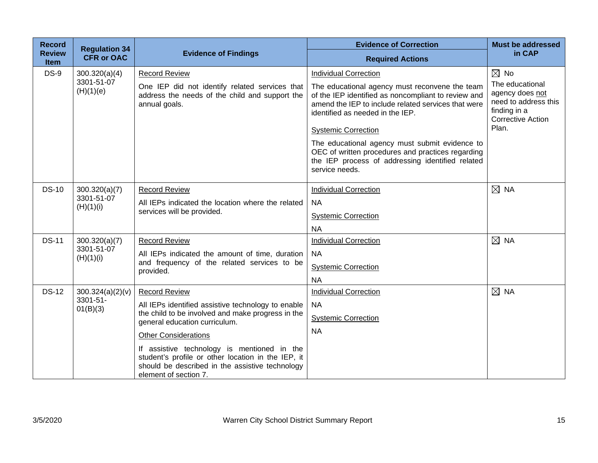| <b>Record</b>                | <b>Regulation 34</b>      |                                                                                                                                                                               | <b>Evidence of Correction</b>                                                                                                                                                                                                  | <b>Must be addressed</b>                                                                                        |
|------------------------------|---------------------------|-------------------------------------------------------------------------------------------------------------------------------------------------------------------------------|--------------------------------------------------------------------------------------------------------------------------------------------------------------------------------------------------------------------------------|-----------------------------------------------------------------------------------------------------------------|
| <b>Review</b><br><b>Item</b> | <b>CFR or OAC</b>         | <b>Evidence of Findings</b>                                                                                                                                                   | <b>Required Actions</b>                                                                                                                                                                                                        | in CAP                                                                                                          |
| $DS-9$                       | 300.320(a)(4)             | <b>Record Review</b>                                                                                                                                                          | <b>Individual Correction</b>                                                                                                                                                                                                   | $\boxtimes$ No                                                                                                  |
|                              | 3301-51-07<br>(H)(1)(e)   | One IEP did not identify related services that<br>address the needs of the child and support the<br>annual goals.                                                             | The educational agency must reconvene the team<br>of the IEP identified as noncompliant to review and<br>amend the IEP to include related services that were<br>identified as needed in the IEP.<br><b>Systemic Correction</b> | The educational<br>agency does not<br>need to address this<br>finding in a<br><b>Corrective Action</b><br>Plan. |
|                              |                           |                                                                                                                                                                               |                                                                                                                                                                                                                                |                                                                                                                 |
|                              |                           |                                                                                                                                                                               | The educational agency must submit evidence to<br>OEC of written procedures and practices regarding<br>the IEP process of addressing identified related<br>service needs.                                                      |                                                                                                                 |
| <b>DS-10</b>                 | 300.320(a)(7)             | <b>Record Review</b>                                                                                                                                                          | <b>Individual Correction</b>                                                                                                                                                                                                   | $\boxtimes$ NA                                                                                                  |
|                              | 3301-51-07                | All IEPs indicated the location where the related<br>services will be provided.                                                                                               | <b>NA</b>                                                                                                                                                                                                                      |                                                                                                                 |
|                              | (H)(1)(i)                 |                                                                                                                                                                               | <b>Systemic Correction</b>                                                                                                                                                                                                     |                                                                                                                 |
|                              |                           |                                                                                                                                                                               | <b>NA</b>                                                                                                                                                                                                                      |                                                                                                                 |
| <b>DS-11</b>                 | 300.320(a)(7)             | <b>Record Review</b>                                                                                                                                                          | <b>Individual Correction</b>                                                                                                                                                                                                   | $\boxtimes$ NA                                                                                                  |
|                              | 3301-51-07<br>(H)(1)(i)   | All IEPs indicated the amount of time, duration                                                                                                                               | <b>NA</b>                                                                                                                                                                                                                      |                                                                                                                 |
|                              |                           | and frequency of the related services to be<br>provided.                                                                                                                      | <b>Systemic Correction</b>                                                                                                                                                                                                     |                                                                                                                 |
|                              |                           |                                                                                                                                                                               | <b>NA</b>                                                                                                                                                                                                                      |                                                                                                                 |
| <b>DS-12</b>                 | 300.324(a)(2)(v)          | <b>Record Review</b>                                                                                                                                                          | <b>Individual Correction</b>                                                                                                                                                                                                   | $\boxtimes$ NA                                                                                                  |
|                              | $3301 - 51 -$<br>01(B)(3) | All IEPs identified assistive technology to enable                                                                                                                            | <b>NA</b>                                                                                                                                                                                                                      |                                                                                                                 |
|                              |                           | the child to be involved and make progress in the<br>general education curriculum.                                                                                            | <b>Systemic Correction</b>                                                                                                                                                                                                     |                                                                                                                 |
|                              |                           | <b>Other Considerations</b>                                                                                                                                                   | <b>NA</b>                                                                                                                                                                                                                      |                                                                                                                 |
|                              |                           | If assistive technology is mentioned in the<br>student's profile or other location in the IEP, it<br>should be described in the assistive technology<br>element of section 7. |                                                                                                                                                                                                                                |                                                                                                                 |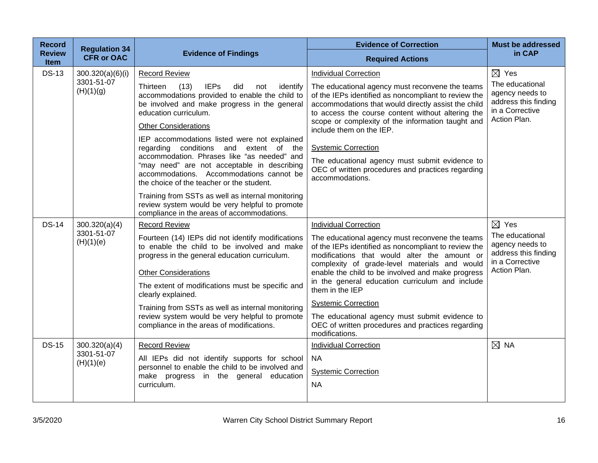| <b>Record</b><br><b>Review</b> | <b>Regulation 34</b>                        | <b>Evidence of Findings</b>                                                                                                                                                                                                                                                                                                                                                                                                                                                                                                                                                                                                         | <b>Evidence of Correction</b>                                                                                                                                                                                                                                                                                                                                                                                                                                                                                              | <b>Must be addressed</b><br>in CAP                                                                               |
|--------------------------------|---------------------------------------------|-------------------------------------------------------------------------------------------------------------------------------------------------------------------------------------------------------------------------------------------------------------------------------------------------------------------------------------------------------------------------------------------------------------------------------------------------------------------------------------------------------------------------------------------------------------------------------------------------------------------------------------|----------------------------------------------------------------------------------------------------------------------------------------------------------------------------------------------------------------------------------------------------------------------------------------------------------------------------------------------------------------------------------------------------------------------------------------------------------------------------------------------------------------------------|------------------------------------------------------------------------------------------------------------------|
| <b>Item</b>                    | <b>CFR or OAC</b>                           |                                                                                                                                                                                                                                                                                                                                                                                                                                                                                                                                                                                                                                     | <b>Required Actions</b>                                                                                                                                                                                                                                                                                                                                                                                                                                                                                                    |                                                                                                                  |
| <b>DS-13</b>                   | 300.320(a)(6)(i)<br>3301-51-07<br>(H)(1)(g) | <b>Record Review</b><br>Thirteen<br>(13)<br><b>IEPs</b><br>did<br>identify<br>not<br>accommodations provided to enable the child to<br>be involved and make progress in the general<br>education curriculum.<br><b>Other Considerations</b><br>IEP accommodations listed were not explained<br>regarding conditions and extent of the<br>accommodation. Phrases like "as needed" and<br>"may need" are not acceptable in describing<br>accommodations. Accommodations cannot be<br>the choice of the teacher or the student.<br>Training from SSTs as well as internal monitoring<br>review system would be very helpful to promote | <b>Individual Correction</b><br>The educational agency must reconvene the teams<br>of the IEPs identified as noncompliant to review the<br>accommodations that would directly assist the child<br>to access the course content without altering the<br>scope or complexity of the information taught and<br>include them on the IEP.<br><b>Systemic Correction</b><br>The educational agency must submit evidence to<br>OEC of written procedures and practices regarding<br>accommodations.                               | $\boxtimes$ Yes<br>The educational<br>agency needs to<br>address this finding<br>in a Corrective<br>Action Plan. |
| <b>DS-14</b>                   | 300.320(a)(4)<br>3301-51-07<br>(H)(1)(e)    | compliance in the areas of accommodations.<br><b>Record Review</b><br>Fourteen (14) IEPs did not identify modifications<br>to enable the child to be involved and make<br>progress in the general education curriculum.<br><b>Other Considerations</b><br>The extent of modifications must be specific and<br>clearly explained.<br>Training from SSTs as well as internal monitoring<br>review system would be very helpful to promote<br>compliance in the areas of modifications.                                                                                                                                                | <b>Individual Correction</b><br>The educational agency must reconvene the teams<br>of the IEPs identified as noncompliant to review the<br>modifications that would alter the amount or<br>complexity of grade-level materials and would<br>enable the child to be involved and make progress<br>in the general education curriculum and include<br>them in the IEP<br><b>Systemic Correction</b><br>The educational agency must submit evidence to<br>OEC of written procedures and practices regarding<br>modifications. | $\boxtimes$ Yes<br>The educational<br>agency needs to<br>address this finding<br>in a Corrective<br>Action Plan. |
| <b>DS-15</b>                   | 300.320(a)(4)<br>3301-51-07<br>(H)(1)(e)    | <b>Record Review</b><br>All IEPs did not identify supports for school<br>personnel to enable the child to be involved and<br>make progress in the general education<br>curriculum.                                                                                                                                                                                                                                                                                                                                                                                                                                                  | <b>Individual Correction</b><br><b>NA</b><br><b>Systemic Correction</b><br><b>NA</b>                                                                                                                                                                                                                                                                                                                                                                                                                                       | $\boxtimes$ NA                                                                                                   |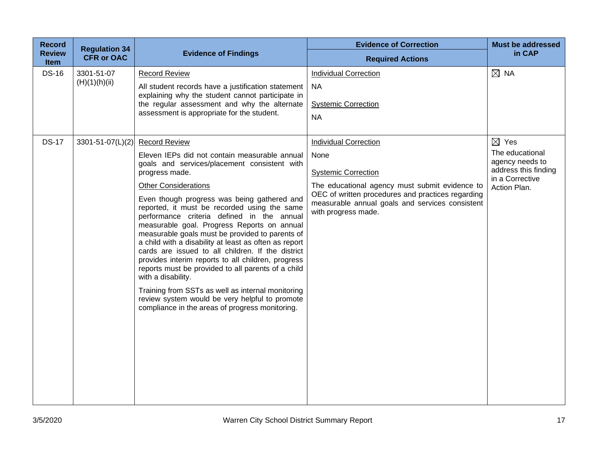| <b>Record</b>         | <b>Regulation 34</b>   |                                                                                                                                                                                                                                                                                                                                                                                                                                                                                                                                                                                                                                                       | <b>Evidence of Correction</b>                                                                                                                                                 | <b>Must be addressed</b>                                |
|-----------------------|------------------------|-------------------------------------------------------------------------------------------------------------------------------------------------------------------------------------------------------------------------------------------------------------------------------------------------------------------------------------------------------------------------------------------------------------------------------------------------------------------------------------------------------------------------------------------------------------------------------------------------------------------------------------------------------|-------------------------------------------------------------------------------------------------------------------------------------------------------------------------------|---------------------------------------------------------|
| <b>Review</b><br>Item | <b>CFR or OAC</b>      | <b>Evidence of Findings</b>                                                                                                                                                                                                                                                                                                                                                                                                                                                                                                                                                                                                                           | <b>Required Actions</b>                                                                                                                                                       | in CAP                                                  |
| <b>DS-16</b>          | 3301-51-07             | <b>Record Review</b>                                                                                                                                                                                                                                                                                                                                                                                                                                                                                                                                                                                                                                  | <b>Individual Correction</b>                                                                                                                                                  | $\boxtimes$ NA                                          |
|                       | (H)(1)(h)(ii)          | All student records have a justification statement<br>explaining why the student cannot participate in<br>the regular assessment and why the alternate                                                                                                                                                                                                                                                                                                                                                                                                                                                                                                | <b>NA</b>                                                                                                                                                                     |                                                         |
|                       |                        |                                                                                                                                                                                                                                                                                                                                                                                                                                                                                                                                                                                                                                                       | <b>Systemic Correction</b>                                                                                                                                                    |                                                         |
|                       |                        | assessment is appropriate for the student.                                                                                                                                                                                                                                                                                                                                                                                                                                                                                                                                                                                                            | <b>NA</b>                                                                                                                                                                     |                                                         |
|                       |                        |                                                                                                                                                                                                                                                                                                                                                                                                                                                                                                                                                                                                                                                       |                                                                                                                                                                               |                                                         |
| <b>DS-17</b>          | $3301 - 51 - 07(L)(2)$ | <b>Record Review</b>                                                                                                                                                                                                                                                                                                                                                                                                                                                                                                                                                                                                                                  | <b>Individual Correction</b>                                                                                                                                                  | $\boxtimes$ Yes                                         |
|                       |                        | Eleven IEPs did not contain measurable annual<br>goals and services/placement consistent with                                                                                                                                                                                                                                                                                                                                                                                                                                                                                                                                                         | None                                                                                                                                                                          | The educational<br>agency needs to                      |
|                       |                        | progress made.                                                                                                                                                                                                                                                                                                                                                                                                                                                                                                                                                                                                                                        | <b>Systemic Correction</b>                                                                                                                                                    | address this finding<br>in a Corrective<br>Action Plan. |
|                       |                        | <b>Other Considerations</b>                                                                                                                                                                                                                                                                                                                                                                                                                                                                                                                                                                                                                           | The educational agency must submit evidence to<br>OEC of written procedures and practices regarding<br>measurable annual goals and services consistent<br>with progress made. |                                                         |
|                       |                        | Even though progress was being gathered and<br>reported, it must be recorded using the same<br>performance criteria defined in the annual<br>measurable goal. Progress Reports on annual<br>measurable goals must be provided to parents of<br>a child with a disability at least as often as report<br>cards are issued to all children. If the district<br>provides interim reports to all children, progress<br>reports must be provided to all parents of a child<br>with a disability.<br>Training from SSTs as well as internal monitoring<br>review system would be very helpful to promote<br>compliance in the areas of progress monitoring. |                                                                                                                                                                               |                                                         |
|                       |                        |                                                                                                                                                                                                                                                                                                                                                                                                                                                                                                                                                                                                                                                       |                                                                                                                                                                               |                                                         |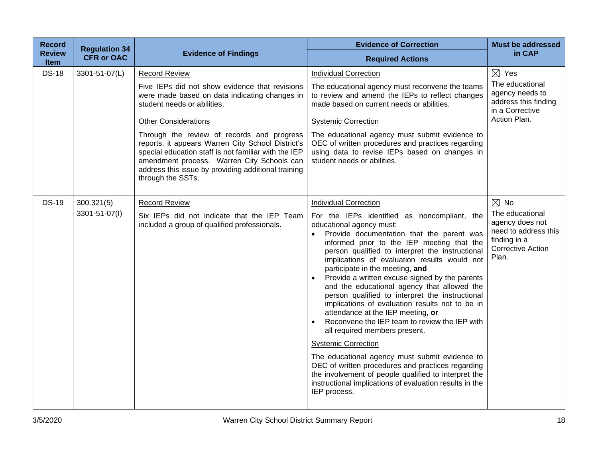| <b>Record</b>              | <b>Regulation 34</b> |                                                                                                                                                                                                                                                                                                                                                                                                                                                                            | <b>Evidence of Correction</b>                                                                                                                                                                                                                                                                                                                                                                                                                                                                                                                                                                                                                                                                                                                                                                                                                                                                                                                                | <b>Must be addressed</b>                                                                                                          |
|----------------------------|----------------------|----------------------------------------------------------------------------------------------------------------------------------------------------------------------------------------------------------------------------------------------------------------------------------------------------------------------------------------------------------------------------------------------------------------------------------------------------------------------------|--------------------------------------------------------------------------------------------------------------------------------------------------------------------------------------------------------------------------------------------------------------------------------------------------------------------------------------------------------------------------------------------------------------------------------------------------------------------------------------------------------------------------------------------------------------------------------------------------------------------------------------------------------------------------------------------------------------------------------------------------------------------------------------------------------------------------------------------------------------------------------------------------------------------------------------------------------------|-----------------------------------------------------------------------------------------------------------------------------------|
| <b>Review</b><br>Item      | <b>CFR or OAC</b>    | <b>Evidence of Findings</b>                                                                                                                                                                                                                                                                                                                                                                                                                                                | <b>Required Actions</b>                                                                                                                                                                                                                                                                                                                                                                                                                                                                                                                                                                                                                                                                                                                                                                                                                                                                                                                                      | in CAP                                                                                                                            |
| <b>DS-18</b>               | 3301-51-07(L)        | <b>Record Review</b><br>Five IEPs did not show evidence that revisions<br>were made based on data indicating changes in<br>student needs or abilities.<br><b>Other Considerations</b><br>Through the review of records and progress<br>reports, it appears Warren City School District's<br>special education staff is not familiar with the IEP<br>amendment process. Warren City Schools can<br>address this issue by providing additional training<br>through the SSTs. | <b>Individual Correction</b><br>The educational agency must reconvene the teams<br>to review and amend the IEPs to reflect changes<br>made based on current needs or abilities.<br><b>Systemic Correction</b><br>The educational agency must submit evidence to<br>OEC of written procedures and practices regarding<br>using data to revise IEPs based on changes in<br>student needs or abilities.                                                                                                                                                                                                                                                                                                                                                                                                                                                                                                                                                         | $\boxtimes$ Yes<br>The educational<br>agency needs to<br>address this finding<br>in a Corrective<br>Action Plan.                  |
| <b>DS-19</b><br>300.321(5) | 3301-51-07(I)        | <b>Record Review</b><br>Six IEPs did not indicate that the IEP Team<br>included a group of qualified professionals.                                                                                                                                                                                                                                                                                                                                                        | <b>Individual Correction</b><br>For the IEPs identified as noncompliant, the<br>educational agency must:<br>Provide documentation that the parent was<br>$\bullet$<br>informed prior to the IEP meeting that the<br>person qualified to interpret the instructional<br>implications of evaluation results would not<br>participate in the meeting, and<br>Provide a written excuse signed by the parents<br>and the educational agency that allowed the<br>person qualified to interpret the instructional<br>implications of evaluation results not to be in<br>attendance at the IEP meeting, or<br>Reconvene the IEP team to review the IEP with<br>all required members present.<br><b>Systemic Correction</b><br>The educational agency must submit evidence to<br>OEC of written procedures and practices regarding<br>the involvement of people qualified to interpret the<br>instructional implications of evaluation results in the<br>IEP process. | $\boxtimes$ No<br>The educational<br>agency does not<br>need to address this<br>finding in a<br><b>Corrective Action</b><br>Plan. |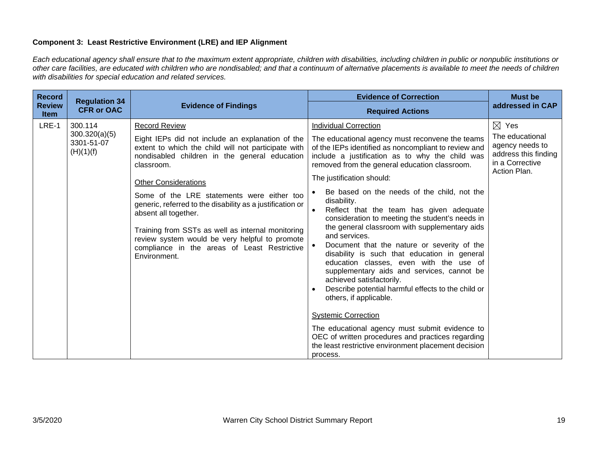## **Component 3: Least Restrictive Environment (LRE) and IEP Alignment**

*Each educational agency shall ensure that to the maximum extent appropriate, children with disabilities, including children in public or nonpublic institutions or other care facilities, are educated with children who are nondisabled; and that a continuum of alternative placements is available to meet the needs of children with disabilities for special education and related services.*

| <b>Record</b>                | <b>Regulation 34</b>                                |                                                                                                                                                                                                                                                                             | <b>Evidence of Correction</b>                                                                                                                                                                                                                                                                                                                                                                                                                                                                                                                                                                                                                                                             | <b>Must be</b>                                                                                                   |
|------------------------------|-----------------------------------------------------|-----------------------------------------------------------------------------------------------------------------------------------------------------------------------------------------------------------------------------------------------------------------------------|-------------------------------------------------------------------------------------------------------------------------------------------------------------------------------------------------------------------------------------------------------------------------------------------------------------------------------------------------------------------------------------------------------------------------------------------------------------------------------------------------------------------------------------------------------------------------------------------------------------------------------------------------------------------------------------------|------------------------------------------------------------------------------------------------------------------|
| <b>Review</b><br><b>Item</b> | <b>CFR or OAC</b>                                   | <b>Evidence of Findings</b>                                                                                                                                                                                                                                                 | <b>Required Actions</b>                                                                                                                                                                                                                                                                                                                                                                                                                                                                                                                                                                                                                                                                   | addressed in CAP                                                                                                 |
| LRE-1                        | 300.114<br>300.320(a)(5)<br>3301-51-07<br>(H)(1)(f) | <b>Record Review</b><br>Eight IEPs did not include an explanation of the<br>extent to which the child will not participate with<br>nondisabled children in the general education<br>classroom.<br><b>Other Considerations</b><br>Some of the LRE statements were either too | Individual Correction<br>The educational agency must reconvene the teams<br>of the IEPs identified as noncompliant to review and<br>include a justification as to why the child was<br>removed from the general education classroom.<br>The justification should:<br>Be based on the needs of the child, not the                                                                                                                                                                                                                                                                                                                                                                          | $\boxtimes$ Yes<br>The educational<br>agency needs to<br>address this finding<br>in a Corrective<br>Action Plan. |
|                              |                                                     | generic, referred to the disability as a justification or<br>absent all together.<br>Training from SSTs as well as internal monitoring<br>review system would be very helpful to promote<br>compliance in the areas of Least Restrictive<br>Environment.                    | disability.<br>Reflect that the team has given adequate<br>consideration to meeting the student's needs in<br>the general classroom with supplementary aids<br>and services.<br>Document that the nature or severity of the<br>disability is such that education in general<br>education classes, even with the use of<br>supplementary aids and services, cannot be<br>achieved satisfactorily.<br>Describe potential harmful effects to the child or<br>others, if applicable.<br><b>Systemic Correction</b><br>The educational agency must submit evidence to<br>OEC of written procedures and practices regarding<br>the least restrictive environment placement decision<br>process. |                                                                                                                  |